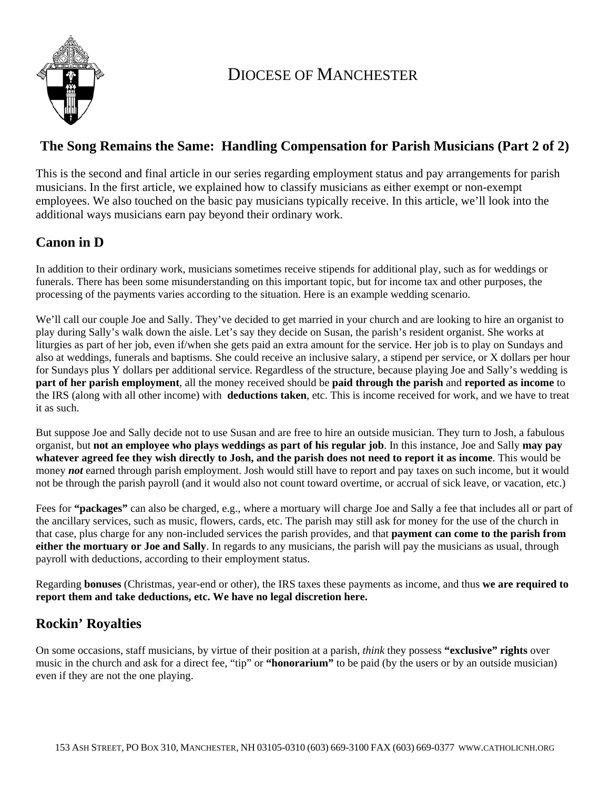

## DIOCESE OF MANCHESTER

#### **The Song Remains the Same: Handling Compensation for Parish Musicians (Part 2 of 2)**

This is the second and final article in our series regarding employment status and pay arrangements for parish musicians. In the first article, we explained how to classify musicians as either exempt or non-exempt employees. We also touched on the basic pay musicians typically receive. In this article, we'll look into the additional ways musicians earn pay beyond their ordinary work.

### **Canon in D**

In addition to their ordinary work, musicians sometimes receive stipends for additional play, such as for weddings or funerals. There has been some misunderstanding on this important topic, but for income tax and other purposes, the processing of the payments varies according to the situation. Here is an example wedding scenario.

We'll call our couple Joe and Sally. They've decided to get married in your church and are looking to hire an organist to play during Sally's walk down the aisle. Let's say they decide on Susan, the parish's resident organist. She works at liturgies as part of her job, even if/when she gets paid an extra amount for the service. Her job is to play on Sundays and also at weddings, funerals and baptisms. She could receive an inclusive salary, a stipend per service, or X dollars per hour for Sundays plus Y dollars per additional service. Regardless of the structure, because playing Joe and Sally's wedding is **part of her parish employment**, all the money received should be **paid through the parish** and **reported as income** to the IRS (along with all other income) with **deductions taken**, etc. This is income received for work, and we have to treat it as such.

But suppose Joe and Sally decide not to use Susan and are free to hire an outside musician. They turn to Josh, a fabulous organist, but **not an employee who plays weddings as part of his regular job**. In this instance, Joe and Sally **may pay whatever agreed fee they wish directly to Josh, and the parish does not need to report it as income**. This would be money *not* earned through parish employment. Josh would still have to report and pay taxes on such income, but it would not be through the parish payroll (and it would also not count toward overtime, or accrual of sick leave, or vacation, etc.)

Fees for **"packages"** can also be charged, e.g., where a mortuary will charge Joe and Sally a fee that includes all or part of the ancillary services, such as music, flowers, cards, etc. The parish may still ask for money for the use of the church in that case, plus charge for any non-included services the parish provides, and that **payment can come to the parish from either the mortuary or Joe and Sally**. In regards to any musicians, the parish will pay the musicians as usual, through payroll with deductions, according to their employment status.

Regarding **bonuses** (Christmas, year-end or other), the IRS taxes these payments as income, and thus **we are required to report them and take deductions, etc. We have no legal discretion here.**

## **Rockin' Royalties**

On some occasions, staff musicians, by virtue of their position at a parish, *think* they possess **"exclusive" rights** over music in the church and ask for a direct fee, "tip" or **"honorarium"** to be paid (by the users or by an outside musician) even if they are not the one playing.